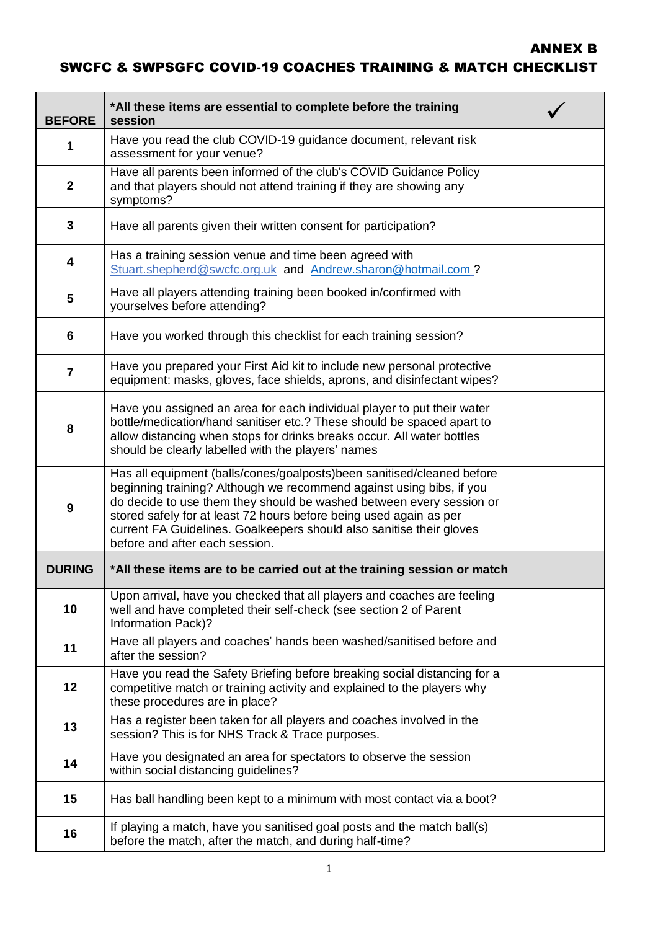## ANNEX B SWCFC & SWPSGFC COVID-19 COACHES TRAINING & MATCH CHECKLIST

| <b>BEFORE</b>  | *All these items are essential to complete before the training<br>session                                                                                                                                                                                                                                                                                                                              |  |
|----------------|--------------------------------------------------------------------------------------------------------------------------------------------------------------------------------------------------------------------------------------------------------------------------------------------------------------------------------------------------------------------------------------------------------|--|
| 1              | Have you read the club COVID-19 guidance document, relevant risk<br>assessment for your venue?                                                                                                                                                                                                                                                                                                         |  |
| $\mathbf{2}$   | Have all parents been informed of the club's COVID Guidance Policy<br>and that players should not attend training if they are showing any<br>symptoms?                                                                                                                                                                                                                                                 |  |
| 3              | Have all parents given their written consent for participation?                                                                                                                                                                                                                                                                                                                                        |  |
| 4              | Has a training session venue and time been agreed with<br>Stuart.shepherd@swcfc.org.uk and Andrew.sharon@hotmail.com?                                                                                                                                                                                                                                                                                  |  |
| 5              | Have all players attending training been booked in/confirmed with<br>yourselves before attending?                                                                                                                                                                                                                                                                                                      |  |
| 6              | Have you worked through this checklist for each training session?                                                                                                                                                                                                                                                                                                                                      |  |
| $\overline{7}$ | Have you prepared your First Aid kit to include new personal protective<br>equipment: masks, gloves, face shields, aprons, and disinfectant wipes?                                                                                                                                                                                                                                                     |  |
| 8              | Have you assigned an area for each individual player to put their water<br>bottle/medication/hand sanitiser etc.? These should be spaced apart to<br>allow distancing when stops for drinks breaks occur. All water bottles<br>should be clearly labelled with the players' names                                                                                                                      |  |
| 9              | Has all equipment (balls/cones/goalposts)been sanitised/cleaned before<br>beginning training? Although we recommend against using bibs, if you<br>do decide to use them they should be washed between every session or<br>stored safely for at least 72 hours before being used again as per<br>current FA Guidelines. Goalkeepers should also sanitise their gloves<br>before and after each session. |  |
| <b>DURING</b>  | *All these items are to be carried out at the training session or match                                                                                                                                                                                                                                                                                                                                |  |
| 10             | Upon arrival, have you checked that all players and coaches are feeling<br>well and have completed their self-check (see section 2 of Parent<br>Information Pack)?                                                                                                                                                                                                                                     |  |
| 11             | Have all players and coaches' hands been washed/sanitised before and<br>after the session?                                                                                                                                                                                                                                                                                                             |  |
| 12             | Have you read the Safety Briefing before breaking social distancing for a<br>competitive match or training activity and explained to the players why<br>these procedures are in place?                                                                                                                                                                                                                 |  |
| 13             | Has a register been taken for all players and coaches involved in the<br>session? This is for NHS Track & Trace purposes.                                                                                                                                                                                                                                                                              |  |
| 14             | Have you designated an area for spectators to observe the session<br>within social distancing guidelines?                                                                                                                                                                                                                                                                                              |  |
| 15             | Has ball handling been kept to a minimum with most contact via a boot?                                                                                                                                                                                                                                                                                                                                 |  |
| 16             | If playing a match, have you sanitised goal posts and the match ball(s)<br>before the match, after the match, and during half-time?                                                                                                                                                                                                                                                                    |  |